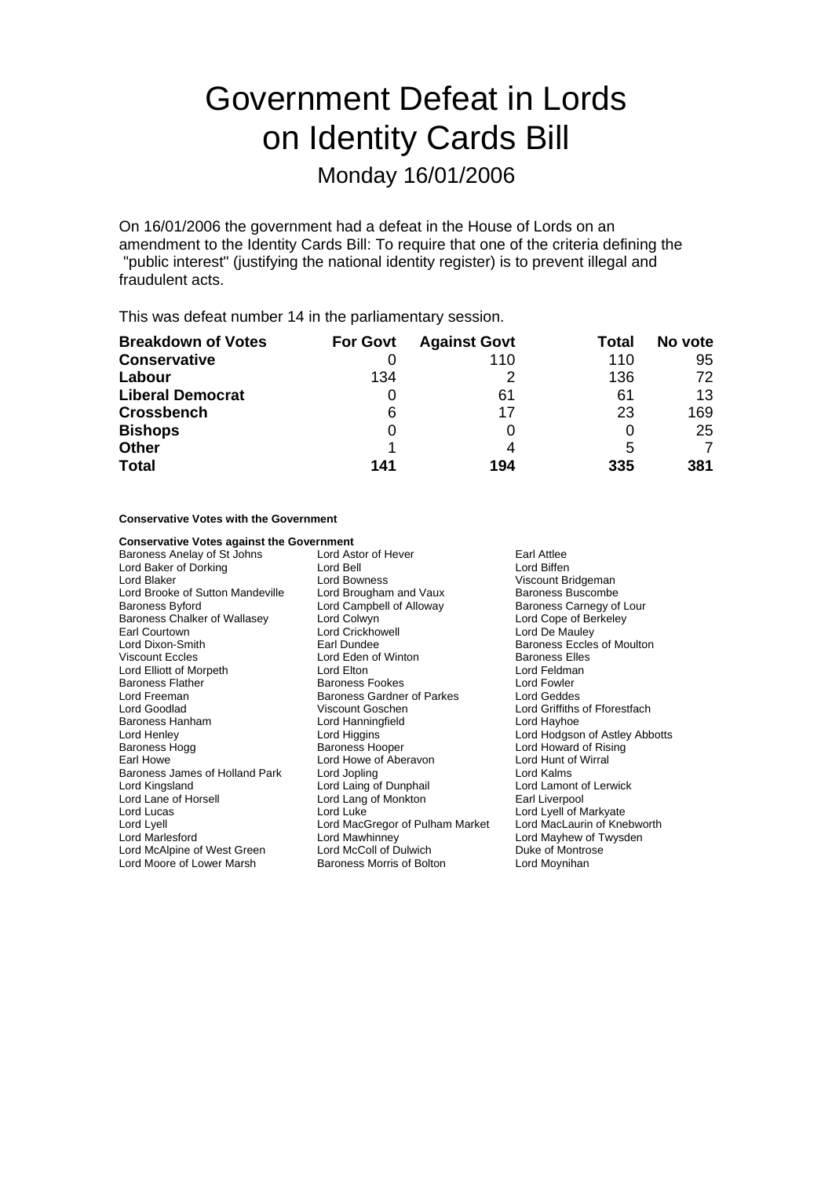# Government Defeat in Lords on Identity Cards Bill

## Monday 16/01/2006

On 16/01/2006 the government had a defeat in the House of Lords on an amendment to the Identity Cards Bill: To require that one of the criteria defining the "public interest" (justifying the national identity register) is to prevent illegal and fraudulent acts.

This was defeat number 14 in the parliamentary session.

| <b>Breakdown of Votes</b> | <b>For Govt</b> | <b>Against Govt</b> | Total | No vote |
|---------------------------|-----------------|---------------------|-------|---------|
| <b>Conservative</b>       |                 | 110                 | 110   | 95      |
| Labour                    | 134             |                     | 136   | 72      |
| <b>Liberal Democrat</b>   |                 | 61                  | 61    | 13      |
| <b>Crossbench</b>         | 6               | 17                  | 23    | 169     |
| <b>Bishops</b>            |                 |                     |       | 25      |
| <b>Other</b>              |                 |                     | 5     | 7       |
| <b>Total</b>              | 141             | 194                 | 335   | 381     |

#### **Conservative Votes with the Government**

# **Conservative Votes against the Government**<br>Baroness Anelay of St Johns Lord Astor of Hever

Lord Baker of Dorking<br>
Lord Blaker<br>
Lord Bowness Lord Brooke of Sutton Mandeville Lord Brougham and Vaux<br>Baroness Byford **Baroness** Lord Campbell of Alloway Earl Courtown **Lord Crickhowell**<br>
Lord Dixon-Smith **Lord Crickhowell**<br>
Earl Dundee Lord McAlpine of West Green Lord McColl of Dulwich Duke of Montrose<br>
Lord Moore of Lower Marsh Baroness Morris of Bolton Lord Moynihan Lord Moore of Lower Marsh

Baroness Anelay of St Johns Lord Astor of Hever Farl Attlee<br>
Lord Baker of Dorking **Lord Bell** Lord Bell Lord Bowness<br>
Lord Brougham and Vaux<br>
Baroness Buscombe Baroness Byford **Exercise 2 Lord Campbell of Alloway** Baroness Carnegy of Lour Baroness Chalker of Wallasey Lord Colwyn Lord Colwell Lord Cope of Berkeley<br>
Lord Cort Courtown Lord Crickhowell Lord Crick Lord De Mauley Viscount Eccles **Communist Communist Communist Communist Communist Communist Communist Communist Communist Communist Communist Communist Communist Communist Communist Communist Communist Communist Communist Communist Commu** Lord Elliott of Morpeth **Lord Elton** Lord Elton Lord Elton Lord Feldman Lord Feldmanness Flather Corpus Lord Fowler Baroness Flather **Baroness Fookes** Lord Fowler<br> **Baroness Gardner of Parkes** Lord Geddes Baroness Gardner of Parkes Lord Goodlad Viscount Goschen Lord Griffiths of Fforestfach Lord Hanningfield<br>Lord Higgins Lord Henley **Lord Higgins** Lord Higgins **Lord Hodgson of Astley Abbotts**<br>
Baroness Hoad **Baroness Hoad Baroness Hoad Howard of Rising** Baroness Hooper Lord Howard of Rising Earl Howe Tearl Howe Lord Howe of Aberavon The Morth Howe Scotland Hunt of Wirral<br>
Baroness James of Holland Park Lord Jopling The Lord Kalms Baroness James of Holland Park Lord Jopling Lord Cord Kalms<br>
Lord Kingsland Lord Laims Lord Laims Lord Lord Lamont of Lerwick Lord Laing of Dunphail Lord Lane of Horsell Lord Lang of Monkton Earl Liverpool Lord Lucas Lord Luke Lord Luke Lord Lord Lord Lyell of Markyate<br>Lord Lyell Lord Luke Lord MacGregor of Pulham Market Lord MacLaurin of Knebworth Lord MacGregor of Pulham Market Lord Marlesford Cord Mawhinney Lord Mawhinney Lord Mayhew of Twysden<br>
Lord McAlpine of West Green Lord McColl of Dulwich Duke of Montrose

Baroness Eccles of Moulton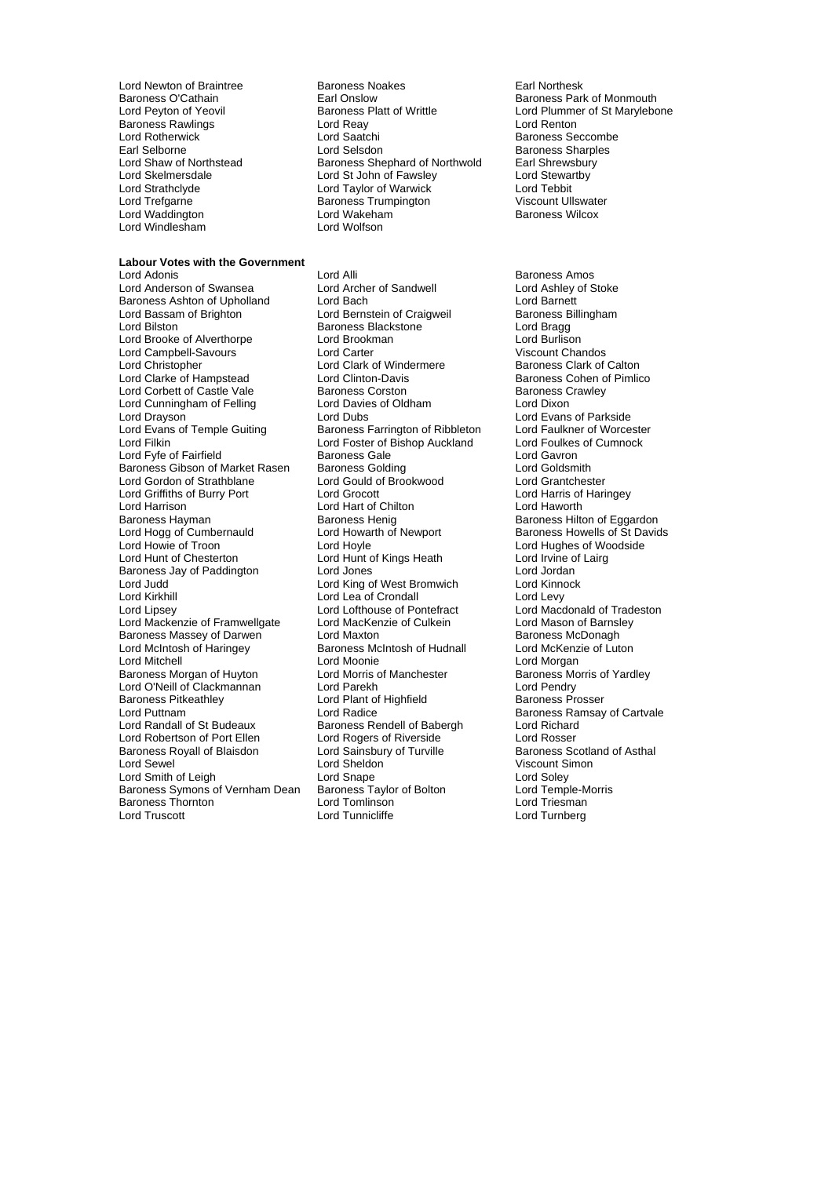Baroness Rawlings **Lord Reay**<br>
Lord Rotherwick **Lord Saatchi** Lord Trefgarne **Baroness Trumpington** Lord Windlesham Lord Wolfson

### **Labour Votes with the Government**

Lord Anderson of Swansea Baroness Ashton of Upholland Lord Bach Lord Baroness Ashton of Upholland Lord Bach Lord Barnett<br>
Lord Bassam of Brighton Lord Bernstein of Craigweil Baroness Billingham Lord Bassam of Brighton **Lord Bernstein of Craigweil** Baroness B<br>
Lord Bilston **Baroness Blackstone** Lord Bragg Lord Brooke of Alverthorpe Lord Brookman Lord Burlison Lord Campbell-Savours **Lord Carter Cannel Communist Communist Communist Chandos**<br>
Lord Christopher Calton Lord Clark of Windermere Baroness Clark of Calton Lord Christopher Lord Clark of Windermere<br>
Lord Clarke of Hampstead Lord Clinton-Davis Lord Corbett of Castle Vale Baroness Corston Baroness Crawley<br>
Lord Cunningham of Felling Lord Davies of Oldham Lord Dixon Lord Cunningham of Felling **Lord Davies Conditional**<br>Lord Dravson **Lord Dubs** Lord Drayson **Lord Dubs** Lord Dubs Lord Evans of Parkside<br>
Lord Evans of Temple Guiting Baroness Farrington of Ribbleton Lord Faulkner of Worcester Lord Filkin Lord Foster of Bishop Auckland Lord Foulkes of Cumnock<br>
Lord Formula Lord Cayron<br>
Lord Gayron Lord Fyfe of Fairfield **Baroness Gale** Cord Gavron<br>
Baroness Gibson of Market Rasen Baroness Golding **Lord Goldsmith** Baroness Gibson of Market Rasen Baroness Golding Lord Goldsmith Lord Griffiths of Burry Port Lord Grocott Lord Harris of Haringey Lord Harrison **Lord Hart of Chilton**<br> **Baroness Hayman** Baroness Henig Lord Hogg of Cumbernauld Lord Howarth of Newport Baroness Howells of St Davids<br>
Lord Howie of Troon Lord Hoyle Cord Hoyle Lord Hughes of Woodside Lord Howie of Troon **Lord Hoyle** Lord Hoyle **Lord Hughes of Woodside**<br>
Lord Hunt of Chesterton **Lord Hunt of Kings Heath** Lord Irvine of Lairg Baroness Jay of Paddington Lord Judd **Lord Communist Communist Communist Communist Communist Communist Communist Communist Communist Communist Communist Communist Lord Levy<br>Lord Kirkhill Lord Levy Lord Levy Lord Levy Lord Levy Lord Levy Lord Levy Lo** Lord Kirkhill Lord Lea of Crondall Lord Levy Lord Mackenzie of Framwellgate Lord MacKenzie of Culkein Lord Mason of Barnsley<br>Baroness Massey of Darwen Lord Maxton Lord Maxton Baroness McDonagh Baroness Massey of Darwen Lord Maxton Lord Maxton Baroness McDonagh<br>
Lord McIntosh of Haringey Baroness McIntosh of Hudnall Lord McKenzie of Luton Lord McIntosh of Haringey Baroness McIntosh of Hudnall<br>
Lord Mitchell Cord Moonie Baroness Morgan of Huyton Lord Morris of Manchester Baroness Morris of Yardley<br>
Lord O'Neill of Clackmannan Lord Parekh Lord Pendry Lord O'Neill of Clackmannan Lord Parekh Lord Pendry Baroness Pitkeathley **Lord Plant of Highfield**<br>
Lord Puttnam<br>
Lord Radice Lord Puttnam **Lord Radice** Cord Radice **Baroness Ramsay of Cartvale**<br>
Lord Ramdall of St Budeaux Baroness Rendell of Babergh Lord Richard Lord Robertson of Port Ellen Lord Rogers of Riverside Cord Rosser<br>
Baroness Royall of Blaisdon Lord Sainsbury of Turville Baroness Scotland of Asthal Baroness Royall of Blaisdon Lord Sewel **Communist Communist Lord Sheldon** Communist Viscount Simon Lord Sheldon Communist Viscount Simon Lord Sheldon Communist Communist Communist Lord Sheldon Communist Communist Communist Communist Communist Communi Lord Smith of Leigh **Lord Soley**<br>Baroness Symons of Vernham Dean Baroness Taylor of Bolton **Lord Temple-Morris** Baroness Symons of Vernham Dean<br>Baroness Taylor of Baroness Thornton Lord Tomlinson Baroness Thornton Lord Tomlinson Lord Triesman

Lord Newton of Braintree **Baroness Noakes** Earl Northesk<br>
Baroness O'Cathain **Earl Onslow** Earl Onslow **Earl Northesk**<br>
Baroness Parl Baroness O'Cathain **Earl Onslow** Earl Onslow Baroness Park of Monmouth<br>
Lord Pevton of Yeovil **Baroness Platt of Writtle Early State** Lord Plummer of St Marvlebo Exaroness Platt of Writtle Lord Plummer of St Marylebone<br>Lord Reavenum Lord Renton Lord Rotherwick **Communist Construction Construction Construction**<br>Earl Selborne **Communist Construction Construction Construction**<br>Baroness Sharoles Earl Selborne **Carl Selston** Lord Selsdon **Baroness Sharples**<br>
Lord Shaw of Northstead **Baroness Shephard of Northwold** Earl Shrewsbury Lord Shaw of Northstead Baroness Shephard of Northwold Earl Shrewsbury<br>Lord Skelmersdale Lord St John of Fawsley Lord Stewartby Lord Skelmersdale **Lord St John of Fawsley** Lord Stewart Lord Stewart Lord Stewart<br>
Lord Strathclyde **Lord Taylor Cord Taylor of Warwick** Lord Tebbit Lord Taylor of Warwick<br>
Baroness Trumpington<br>
Viscount Ullswater Lord Waddington Lord Wakeham<br>Lord Windlesbam Baroness Wilcox<br>Lord Windlesbam Baroness Lord Wolfson

> Lord Alli **Communist Communist Communist Communist Communist Communist Communist Communist Communist Communist Communist Communist Communist Communist Communist Communist Communist Communist Communist Communist Communist C** Baroness Blackstone Lord Clinton-Davis **Constant Clinton-Davis** Baroness Cohen of Pimlico<br>Baroness Corston Baroness Crawley  $L = L - L$ <br>Baroness Farrington of Ribbleton Lord Gould of Brookwood Baroness Henig<br>
> Baroness Henig<br>
> Lord Howarth of Newport<br>
> Baroness Howells of St David Lord Hunt of Kings Heath Lord Irvine of Lord Jones<br>
> Lord Jones **Lord Lord Lord Lord Lord Lord Lord** Lord Lofthouse of Pontefract Lord Macdonald of Tradeston<br>
> Lord MacKenzie of Culkein Lord Mason of Barnsley Lord Moonie<br>
> Lord Morris of Manchester<br>
> Lord Morris of Manchester<br>
> Contains a Baroness Mo Baroness Rendell of Babergh<br>Lord Rogers of Riverside

Lord Turnberg